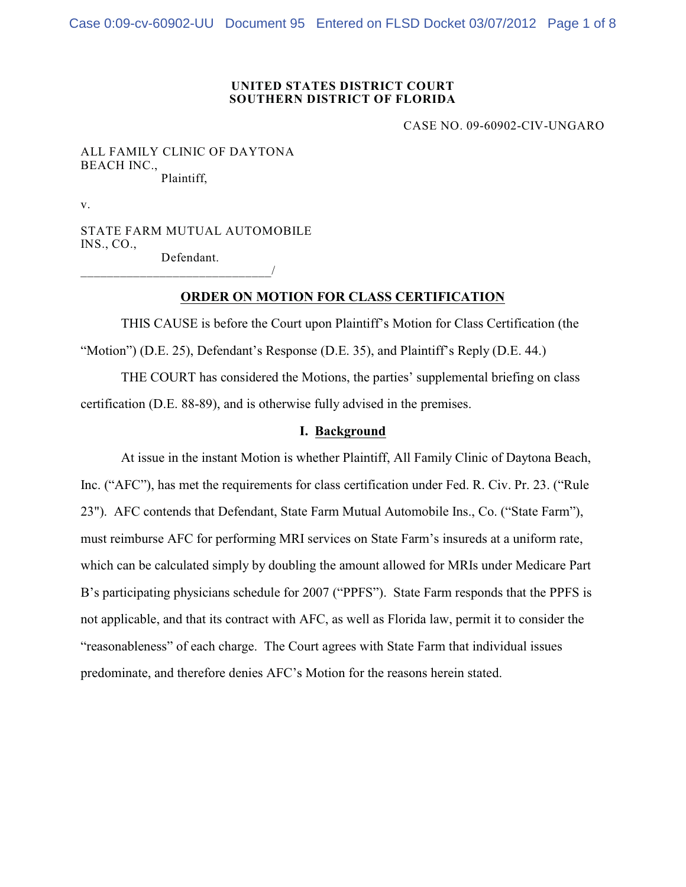#### **UNITED STATES DISTRICT COURT SOUTHERN DISTRICT OF FLORIDA**

CASE NO. 09-60902-CIV-UNGARO

ALL FAMILY CLINIC OF DAYTONA BEACH INC., Plaintiff,

v.

STATE FARM MUTUAL AUTOMOBILE INS., CO., Defendant.

\_\_\_\_\_\_\_\_\_\_\_\_\_\_\_\_\_\_\_\_\_\_\_\_\_\_\_\_\_/

# **ORDER ON MOTION FOR CLASS CERTIFICATION**

THIS CAUSE is before the Court upon Plaintiff's Motion for Class Certification (the "Motion") (D.E. 25), Defendant's Response (D.E. 35), and Plaintiff's Reply (D.E. 44.)

THE COURT has considered the Motions, the parties' supplemental briefing on class certification (D.E. 88-89), and is otherwise fully advised in the premises.

# **I. Background**

At issue in the instant Motion is whether Plaintiff, All Family Clinic of Daytona Beach, Inc. ("AFC"), has met the requirements for class certification under Fed. R. Civ. Pr. 23. ("Rule 23"). AFC contends that Defendant, State Farm Mutual Automobile Ins., Co. ("State Farm"), must reimburse AFC for performing MRI services on State Farm's insureds at a uniform rate, which can be calculated simply by doubling the amount allowed for MRIs under Medicare Part B's participating physicians schedule for 2007 ("PPFS"). State Farm responds that the PPFS is not applicable, and that its contract with AFC, as well as Florida law, permit it to consider the "reasonableness" of each charge. The Court agrees with State Farm that individual issues predominate, and therefore denies AFC's Motion for the reasons herein stated.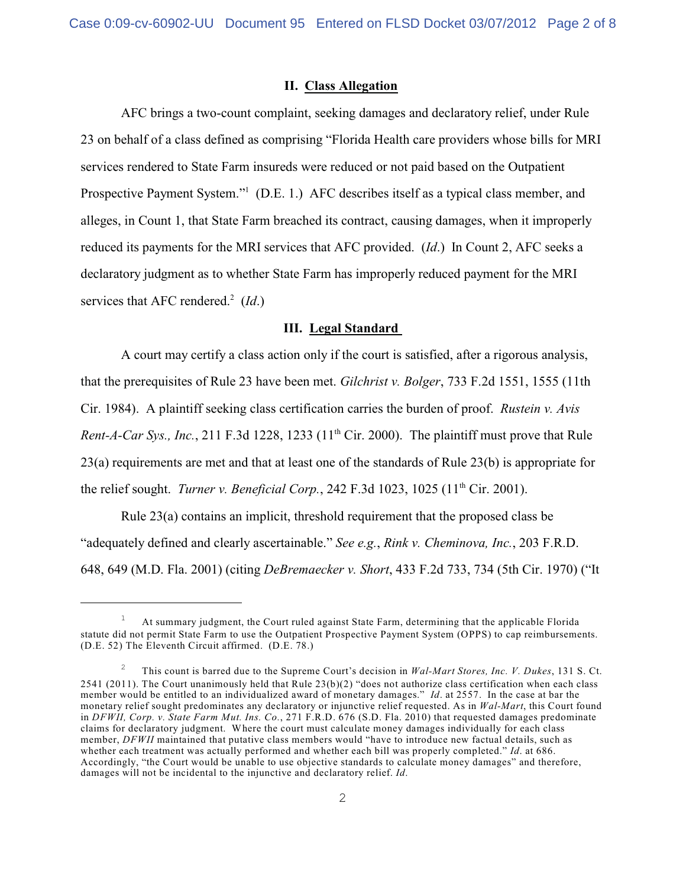#### **II. Class Allegation**

AFC brings a two-count complaint, seeking damages and declaratory relief, under Rule 23 on behalf of a class defined as comprising "Florida Health care providers whose bills for MRI services rendered to State Farm insureds were reduced or not paid based on the Outpatient Prospective Payment System."<sup>1</sup> (D.E. 1.) AFC describes itself as a typical class member, and alleges, in Count 1, that State Farm breached its contract, causing damages, when it improperly reduced its payments for the MRI services that AFC provided. (*Id*.) In Count 2, AFC seeks a declaratory judgment as to whether State Farm has improperly reduced payment for the MRI services that AFC rendered.<sup>2</sup> (*Id*.)

# **III. Legal Standard**

A court may certify a class action only if the court is satisfied, after a rigorous analysis, that the prerequisites of Rule 23 have been met. *Gilchrist v. Bolger*, 733 F.2d 1551, 1555 (11th Cir. 1984). A plaintiff seeking class certification carries the burden of proof. *Rustein v. Avis Rent-A-Car Sys., Inc.*, 211 F.3d 1228, 1233 ( $11<sup>th</sup>$  Cir. 2000). The plaintiff must prove that Rule 23(a) requirements are met and that at least one of the standards of Rule 23(b) is appropriate for the relief sought. *Turner v. Beneficial Corp.*, 242 F.3d 1023, 1025 (11<sup>th</sup> Cir. 2001).

Rule 23(a) contains an implicit, threshold requirement that the proposed class be "adequately defined and clearly ascertainable." *See e.g.*, *Rink v. Cheminova, Inc.*, 203 F.R.D. 648, 649 (M.D. Fla. 2001) (citing *DeBremaecker v. Short*, 433 F.2d 733, 734 (5th Cir. 1970) ("It

At summary judgment, the Court ruled against State Farm, determining that the applicable Florida <sup>1</sup> statute did not permit State Farm to use the Outpatient Prospective Payment System (OPPS) to cap reimbursements. (D.E. 52) The Eleventh Circuit affirmed. (D.E. 78.)

This count is barred due to the Supreme Court's decision in *Wal-Mart Stores, Inc. V. Dukes*, 131 S. Ct. <sup>2</sup> 2541 (2011). The Court unanimously held that Rule 23(b)(2) "does not authorize class certification when each class member would be entitled to an individualized award of monetary damages." *Id*. at 2557. In the case at bar the monetary relief sought predominates any declaratory or injunctive relief requested. As in *Wal-Mart*, this Court found in *DFWII, Corp. v. State Farm Mut. Ins. Co.*, 271 F.R.D. 676 (S.D. Fla. 2010) that requested damages predominate claims for declaratory judgment. Where the court must calculate money damages individually for each class member, *DFWII* maintained that putative class members would "have to introduce new factual details, such as whether each treatment was actually performed and whether each bill was properly completed." *Id*. at 686. Accordingly, "the Court would be unable to use objective standards to calculate money damages" and therefore, damages will not be incidental to the injunctive and declaratory relief. *Id*.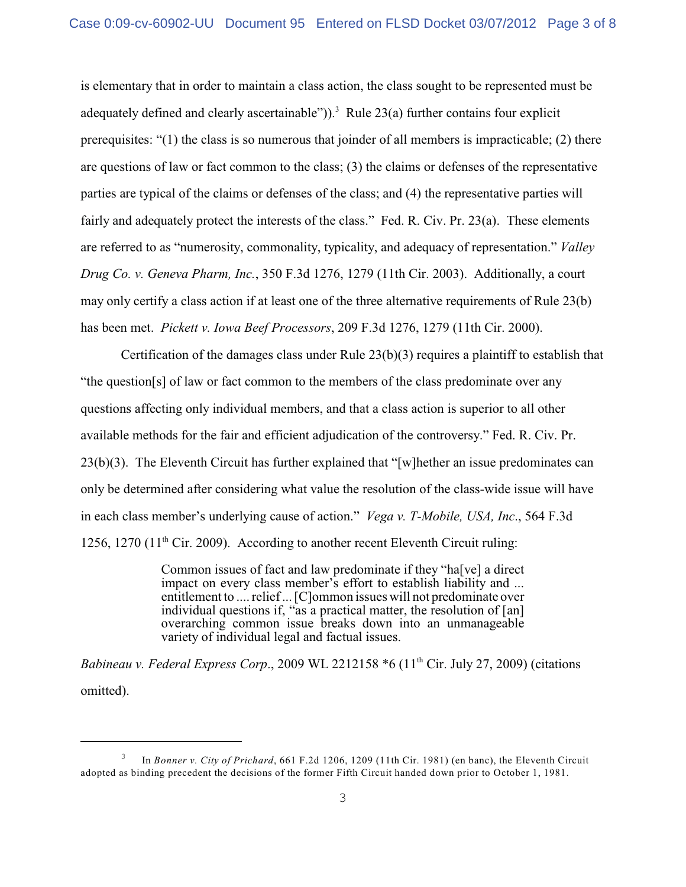is elementary that in order to maintain a class action, the class sought to be represented must be adequately defined and clearly ascertainable")).<sup>3</sup> Rule 23(a) further contains four explicit prerequisites: "(1) the class is so numerous that joinder of all members is impracticable; (2) there are questions of law or fact common to the class; (3) the claims or defenses of the representative parties are typical of the claims or defenses of the class; and (4) the representative parties will fairly and adequately protect the interests of the class." Fed. R. Civ. Pr. 23(a). These elements are referred to as "numerosity, commonality, typicality, and adequacy of representation." *Valley Drug Co. v. Geneva Pharm, Inc.*, 350 F.3d 1276, 1279 (11th Cir. 2003). Additionally, a court may only certify a class action if at least one of the three alternative requirements of Rule 23(b) has been met. *Pickett v. Iowa Beef Processors*, 209 F.3d 1276, 1279 (11th Cir. 2000).

Certification of the damages class under Rule  $23(b)(3)$  requires a plaintiff to establish that "the question[s] of law or fact common to the members of the class predominate over any questions affecting only individual members, and that a class action is superior to all other available methods for the fair and efficient adjudication of the controversy." Fed. R. Civ. Pr. 23(b)(3). The Eleventh Circuit has further explained that "[w]hether an issue predominates can only be determined after considering what value the resolution of the class-wide issue will have in each class member's underlying cause of action." *Vega v. T-Mobile, USA, Inc*., 564 F.3d 1256, 1270 (11<sup>th</sup> Cir. 2009). According to another recent Eleventh Circuit ruling:

> Common issues of fact and law predominate if they "ha[ve] a direct impact on every class member's effort to establish liability and ... entitlement to .... relief ... [C]ommon issues will not predominate over individual questions if, "as a practical matter, the resolution of [an] overarching common issue breaks down into an unmanageable variety of individual legal and factual issues.

*Babineau v. Federal Express Corp.*, 2009 WL 2212158  $*6$  (11<sup>th</sup> Cir. July 27, 2009) (citations omitted).

In *Bonner v. City of Prichard*, 661 F.2d 1206, 1209 (11th Cir. 1981) (en banc), the Eleventh Circuit <sup>3</sup> adopted as binding precedent the decisions of the former Fifth Circuit handed down prior to October 1, 1981.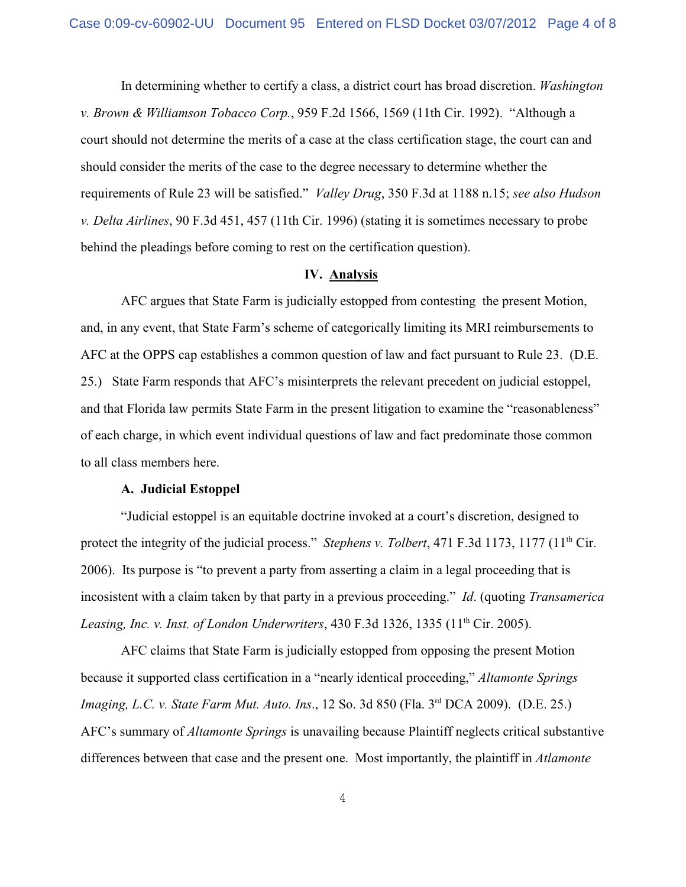In determining whether to certify a class, a district court has broad discretion. *Washington v. Brown & Williamson Tobacco Corp.*, 959 F.2d 1566, 1569 (11th Cir. 1992). "Although a court should not determine the merits of a case at the class certification stage, the court can and should consider the merits of the case to the degree necessary to determine whether the requirements of Rule 23 will be satisfied." *Valley Drug*, 350 F.3d at 1188 n.15; *see also Hudson v. Delta Airlines*, 90 F.3d 451, 457 (11th Cir. 1996) (stating it is sometimes necessary to probe behind the pleadings before coming to rest on the certification question).

#### **IV. Analysis**

AFC argues that State Farm is judicially estopped from contesting the present Motion, and, in any event, that State Farm's scheme of categorically limiting its MRI reimbursements to AFC at the OPPS cap establishes a common question of law and fact pursuant to Rule 23. (D.E. 25.) State Farm responds that AFC's misinterprets the relevant precedent on judicial estoppel, and that Florida law permits State Farm in the present litigation to examine the "reasonableness" of each charge, in which event individual questions of law and fact predominate those common to all class members here.

## **A. Judicial Estoppel**

"Judicial estoppel is an equitable doctrine invoked at a court's discretion, designed to protect the integrity of the judicial process." *Stephens v. Tolbert*, 471 F.3d 1173, 1177 (11<sup>th</sup> Cir. 2006). Its purpose is "to prevent a party from asserting a claim in a legal proceeding that is incosistent with a claim taken by that party in a previous proceeding." *Id*. (quoting *Transamerica Leasing, Inc. v. Inst. of London Underwriters,* 430 F.3d 1326, 1335 (11<sup>th</sup> Cir. 2005).

AFC claims that State Farm is judicially estopped from opposing the present Motion because it supported class certification in a "nearly identical proceeding," *Altamonte Springs Imaging, L.C. v. State Farm Mut. Auto. Ins., 12 So. 3d 850 (Fla. 3<sup>rd</sup> DCA 2009). (D.E. 25.)* AFC's summary of *Altamonte Springs* is unavailing because Plaintiff neglects critical substantive differences between that case and the present one. Most importantly, the plaintiff in *Atlamonte*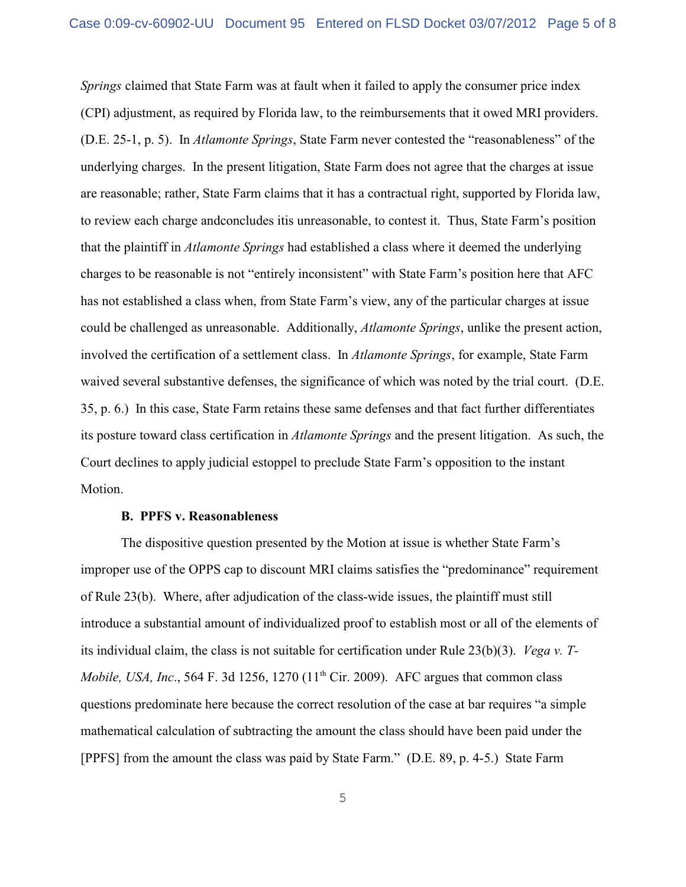*Springs* claimed that State Farm was at fault when it failed to apply the consumer price index (CPI) adjustment, as required by Florida law, to the reimbursements that it owed MRI providers. (D.E. 25-1, p. 5). In *Atlamonte Springs*, State Farm never contested the "reasonableness" of the underlying charges. In the present litigation, State Farm does not agree that the charges at issue are reasonable; rather, State Farm claims that it has a contractual right, supported by Florida law, to review each charge andconcludes itis unreasonable, to contest it. Thus, State Farm's position that the plaintiff in *Atlamonte Springs* had established a class where it deemed the underlying charges to be reasonable is not "entirely inconsistent" with State Farm's position here that AFC has not established a class when, from State Farm's view, any of the particular charges at issue could be challenged as unreasonable. Additionally, *Atlamonte Springs*, unlike the present action, involved the certification of a settlement class. In *Atlamonte Springs*, for example, State Farm waived several substantive defenses, the significance of which was noted by the trial court. (D.E. 35, p. 6.) In this case, State Farm retains these same defenses and that fact further differentiates its posture toward class certification in *Atlamonte Springs* and the present litigation. As such, the Court declines to apply judicial estoppel to preclude State Farm's opposition to the instant Motion.

## **B. PPFS v. Reasonableness**

The dispositive question presented by the Motion at issue is whether State Farm's improper use of the OPPS cap to discount MRI claims satisfies the "predominance" requirement of Rule 23(b). Where, after adjudication of the class-wide issues, the plaintiff must still introduce a substantial amount of individualized proof to establish most or all of the elements of its individual claim, the class is not suitable for certification under Rule 23(b)(3). *Vega v. T-Mobile, USA, Inc.*, 564 F. 3d 1256, 1270 (11<sup>th</sup> Cir. 2009). AFC argues that common class questions predominate here because the correct resolution of the case at bar requires "a simple mathematical calculation of subtracting the amount the class should have been paid under the [PPFS] from the amount the class was paid by State Farm." (D.E. 89, p. 4-5.) State Farm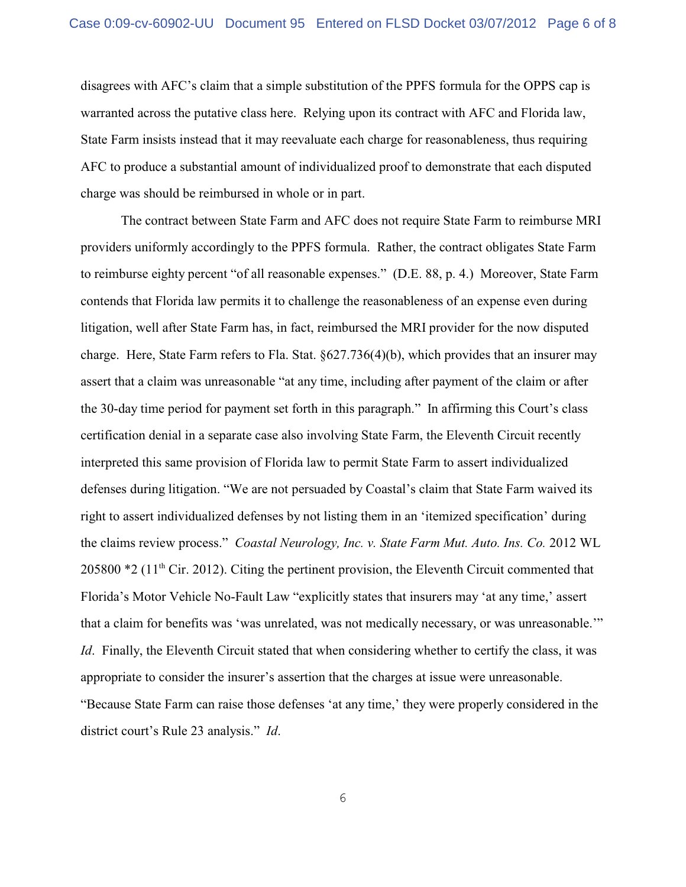disagrees with AFC's claim that a simple substitution of the PPFS formula for the OPPS cap is warranted across the putative class here. Relying upon its contract with AFC and Florida law, State Farm insists instead that it may reevaluate each charge for reasonableness, thus requiring AFC to produce a substantial amount of individualized proof to demonstrate that each disputed charge was should be reimbursed in whole or in part.

The contract between State Farm and AFC does not require State Farm to reimburse MRI providers uniformly accordingly to the PPFS formula. Rather, the contract obligates State Farm to reimburse eighty percent "of all reasonable expenses." (D.E. 88, p. 4.) Moreover, State Farm contends that Florida law permits it to challenge the reasonableness of an expense even during litigation, well after State Farm has, in fact, reimbursed the MRI provider for the now disputed charge. Here, State Farm refers to Fla. Stat. §627.736(4)(b), which provides that an insurer may assert that a claim was unreasonable "at any time, including after payment of the claim or after the 30-day time period for payment set forth in this paragraph." In affirming this Court's class certification denial in a separate case also involving State Farm, the Eleventh Circuit recently interpreted this same provision of Florida law to permit State Farm to assert individualized defenses during litigation. "We are not persuaded by Coastal's claim that State Farm waived its right to assert individualized defenses by not listing them in an 'itemized specification' during the claims review process." *Coastal Neurology, Inc. v. State Farm Mut. Auto. Ins. Co.* 2012 WL 205800  $*2$  (11<sup>th</sup> Cir. 2012). Citing the pertinent provision, the Eleventh Circuit commented that Florida's Motor Vehicle No-Fault Law "explicitly states that insurers may 'at any time,' assert that a claim for benefits was 'was unrelated, was not medically necessary, or was unreasonable.'" *Id.* Finally, the Eleventh Circuit stated that when considering whether to certify the class, it was appropriate to consider the insurer's assertion that the charges at issue were unreasonable. "Because State Farm can raise those defenses 'at any time,' they were properly considered in the district court's Rule 23 analysis." *Id*.

6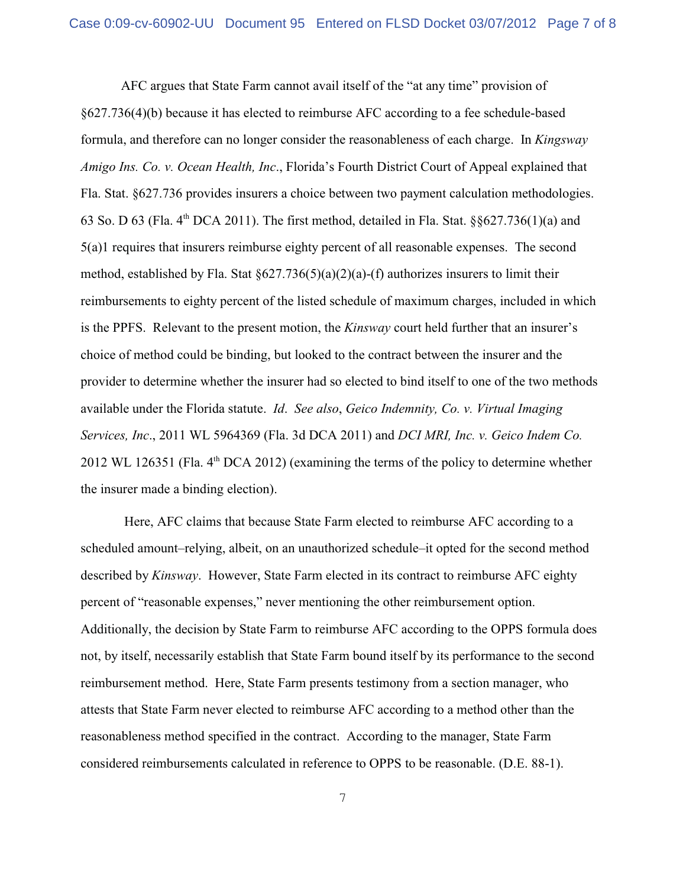AFC argues that State Farm cannot avail itself of the "at any time" provision of §627.736(4)(b) because it has elected to reimburse AFC according to a fee schedule-based formula, and therefore can no longer consider the reasonableness of each charge. In *Kingsway Amigo Ins. Co. v. Ocean Health, Inc*., Florida's Fourth District Court of Appeal explained that Fla. Stat. §627.736 provides insurers a choice between two payment calculation methodologies. 63 So. D 63 (Fla.  $4<sup>th</sup>$  DCA 2011). The first method, detailed in Fla. Stat. §§627.736(1)(a) and 5(a)1 requires that insurers reimburse eighty percent of all reasonable expenses. The second method, established by Fla. Stat  $\S627.736(5)(a)(2)(a)$ -(f) authorizes insurers to limit their reimbursements to eighty percent of the listed schedule of maximum charges, included in which is the PPFS. Relevant to the present motion, the *Kinsway* court held further that an insurer's choice of method could be binding, but looked to the contract between the insurer and the provider to determine whether the insurer had so elected to bind itself to one of the two methods available under the Florida statute. *Id*. *See also*, *Geico Indemnity, Co. v. Virtual Imaging Services, Inc*., 2011 WL 5964369 (Fla. 3d DCA 2011) and *DCI MRI, Inc. v. Geico Indem Co.* 2012 WL 126351 (Fla.  $4<sup>th</sup>$  DCA 2012) (examining the terms of the policy to determine whether the insurer made a binding election).

 Here, AFC claims that because State Farm elected to reimburse AFC according to a scheduled amount–relying, albeit, on an unauthorized schedule–it opted for the second method described by *Kinsway*. However, State Farm elected in its contract to reimburse AFC eighty percent of "reasonable expenses," never mentioning the other reimbursement option. Additionally, the decision by State Farm to reimburse AFC according to the OPPS formula does not, by itself, necessarily establish that State Farm bound itself by its performance to the second reimbursement method. Here, State Farm presents testimony from a section manager, who attests that State Farm never elected to reimburse AFC according to a method other than the reasonableness method specified in the contract. According to the manager, State Farm considered reimbursements calculated in reference to OPPS to be reasonable. (D.E. 88-1).

7